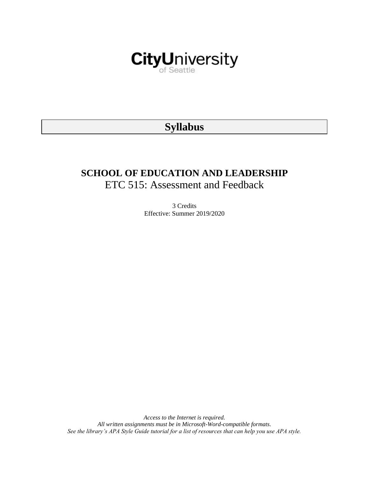

# **Syllabus**

# **SCHOOL OF EDUCATION AND LEADERSHIP** ETC 515: Assessment and Feedback

3 Credits Effective: Summer 2019/2020

*Access to the Internet is required. All written assignments must be in Microsoft-Word-compatible formats. See the library's APA Style Guide tutorial for a list of resources that can help you use APA style.*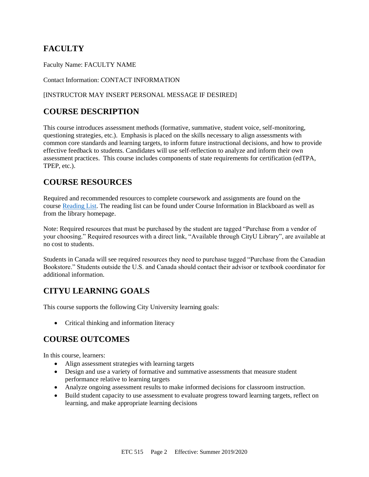# **FACULTY**

Faculty Name: FACULTY NAME

#### Contact Information: CONTACT INFORMATION

#### [INSTRUCTOR MAY INSERT PERSONAL MESSAGE IF DESIRED]

# **COURSE DESCRIPTION**

This course introduces assessment methods (formative, summative, student voice, self-monitoring, questioning strategies, etc.). Emphasis is placed on the skills necessary to align assessments with common core standards and learning targets, to inform future instructional decisions, and how to provide effective feedback to students. Candidates will use self-reflection to analyze and inform their own assessment practices. This course includes components of state requirements for certification (edTPA, TPEP, etc.).

## **COURSE RESOURCES**

Required and recommended resources to complete coursework and assignments are found on the course [Reading List.](https://nam03.safelinks.protection.outlook.com/?url=https%3A%2F%2Fcityu.alma.exlibrisgroup.com%2Fleganto%2Flogin%3Fauth%3DSAML&data=04%7C01%7CMMara%40cityu.edu%7C70673ce0fe0144040eda08d87472e204%7Cb3fa96d9f5154662add763d854e39e63%7C1%7C0%7C637387384066198115%7CUnknown%7CTWFpbGZsb3d8eyJWIjoiMC4wLjAwMDAiLCJQIjoiV2luMzIiLCJBTiI6Ik1haWwiLCJXVCI6Mn0%3D%7C1000&sdata=JbwP%2Fm5Q%2BMgIUWa%2FXceos%2BoiLv0DX%2B%2FL%2BNGNMbX9P8E%3D&reserved=0) The reading list can be found under Course Information in Blackboard as well as from the library homepage.

Note: Required resources that must be purchased by the student are tagged "Purchase from a vendor of your choosing." Required resources with a direct link, "Available through CityU Library", are available at no cost to students.

Students in Canada will see required resources they need to purchase tagged "Purchase from the Canadian Bookstore." Students outside the U.S. and Canada should contact their advisor or textbook coordinator for additional information.

# **CITYU LEARNING GOALS**

This course supports the following City University learning goals:

• Critical thinking and information literacy

# **COURSE OUTCOMES**

In this course, learners:

- Align assessment strategies with learning targets
- Design and use a variety of formative and summative assessments that measure student performance relative to learning targets
- Analyze ongoing assessment results to make informed decisions for classroom instruction.
- Build student capacity to use assessment to evaluate progress toward learning targets, reflect on learning, and make appropriate learning decisions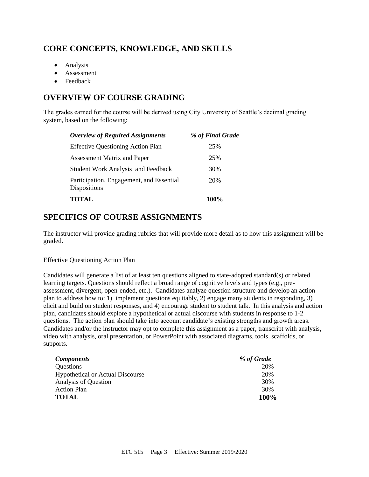# **CORE CONCEPTS, KNOWLEDGE, AND SKILLS**

- Analysis
- Assessment
- Feedback

# **OVERVIEW OF COURSE GRADING**

The grades earned for the course will be derived using City University of Seattle's decimal grading system, based on the following:

| <b>Overview of Required Assignments</b>                  | % of Final Grade |
|----------------------------------------------------------|------------------|
| <b>Effective Questioning Action Plan</b>                 | 25%              |
| <b>Assessment Matrix and Paper</b>                       | 25%              |
| <b>Student Work Analysis and Feedback</b>                | 30%              |
| Participation, Engagement, and Essential<br>Dispositions | 20%              |
| <b>TOTAL</b>                                             | 100 <sup>%</sup> |

## **SPECIFICS OF COURSE ASSIGNMENTS**

The instructor will provide grading rubrics that will provide more detail as to how this assignment will be graded.

#### Effective Questioning Action Plan

Candidates will generate a list of at least ten questions aligned to state-adopted standard(s) or related learning targets. Questions should reflect a broad range of cognitive levels and types (e.g., preassessment, divergent, open-ended, etc.). Candidates analyze question structure and develop an action plan to address how to: 1) implement questions equitably, 2) engage many students in responding, 3) elicit and build on student responses, and 4) encourage student to student talk. In this analysis and action plan, candidates should explore a hypothetical or actual discourse with students in response to 1-2 questions. The action plan should take into account candidate's existing strengths and growth areas. Candidates and/or the instructor may opt to complete this assignment as a paper, transcript with analysis, video with analysis, oral presentation, or PowerPoint with associated diagrams, tools, scaffolds, or supports.

| <b>Components</b>                       | % of Grade |
|-----------------------------------------|------------|
| Questions                               | 20%        |
| <b>Hypothetical or Actual Discourse</b> | 20%        |
| Analysis of Question                    | 30%        |
| <b>Action Plan</b>                      | 30%        |
| <b>TOTAL</b>                            | 100%       |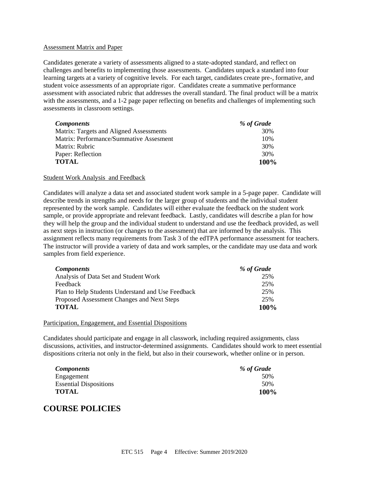#### Assessment Matrix and Paper

Candidates generate a variety of assessments aligned to a state-adopted standard, and reflect on challenges and benefits to implementing those assessments. Candidates unpack a standard into four learning targets at a variety of cognitive levels. For each target, candidates create pre-, formative, and student voice assessments of an appropriate rigor. Candidates create a summative performance assessment with associated rubric that addresses the overall standard. The final product will be a matrix with the assessments, and a 1-2 page paper reflecting on benefits and challenges of implementing such assessments in classroom settings.

| <b>Components</b>                       | % of Grade |
|-----------------------------------------|------------|
| Matrix: Targets and Aligned Assessments | 30%        |
| Matrix: Performance/Summative Assesment | 10%        |
| Matrix: Rubric                          | 30%        |
| Paper: Reflection                       | 30%        |
| <b>TOTAL</b>                            | 100%       |

#### Student Work Analysis and Feedback

Candidates will analyze a data set and associated student work sample in a 5-page paper. Candidate will describe trends in strengths and needs for the larger group of students and the individual student represented by the work sample. Candidates will either evaluate the feedback on the student work sample, or provide appropriate and relevant feedback. Lastly, candidates will describe a plan for how they will help the group and the individual student to understand and use the feedback provided, as well as next steps in instruction (or changes to the assessment) that are informed by the analysis. This assignment reflects many requirements from Task 3 of the edTPA performance assessment for teachers. The instructor will provide a variety of data and work samples, or the candidate may use data and work samples from field experience.

| <b>Components</b>                                 | % of Grade |
|---------------------------------------------------|------------|
| Analysis of Data Set and Student Work             | 25%        |
| Feedback                                          | 25%        |
| Plan to Help Students Understand and Use Feedback | 25%        |
| Proposed Assessment Changes and Next Steps        | 25%        |
| <b>TOTAL</b>                                      | 100%       |

#### Participation, Engagement, and Essential Dispositions

Candidates should participate and engage in all classwork, including required assignments, class discussions, activities, and instructor-determined assignments. Candidates should work to meet essential dispositions criteria not only in the field, but also in their coursework, whether online or in person.

| <i>Components</i>             | % of Grade |
|-------------------------------|------------|
| Engagement                    | 50%        |
| <b>Essential Dispositions</b> | 50%        |
| <b>TOTAL</b>                  | 100%       |

### **COURSE POLICIES**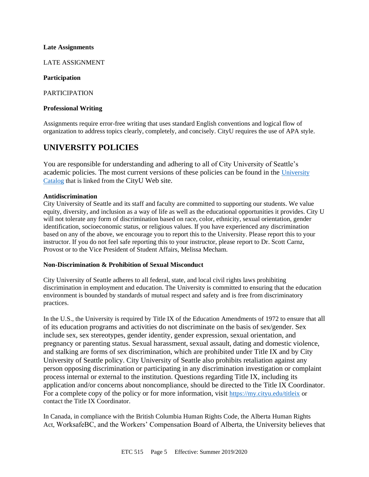#### **Late Assignments**

LATE ASSIGNMENT

#### **Participation**

PARTICIPATION

#### **Professional Writing**

Assignments require error-free writing that uses standard English conventions and logical flow of organization to address topics clearly, completely, and concisely. CityU requires the use of APA style.

### **UNIVERSITY POLICIES**

You are responsible for understanding and adhering to all of City University of Seattle's academic policies. The most current versions of these policies can be found in the [University](https://www.cityu.edu/catalog/)  [Catalog](https://www.cityu.edu/catalog/) that is linked from the CityU Web site.

#### **Antidiscrimination**

City University of Seattle and its staff and faculty are committed to supporting our students. We value equity, diversity, and inclusion as a way of life as well as the educational opportunities it provides. City U will not tolerate any form of discrimination based on race, color, ethnicity, sexual orientation, gender identification, socioeconomic status, or religious values. If you have experienced any discrimination based on any of the above, we encourage you to report this to the University. Please report this to your instructor. If you do not feel safe reporting this to your instructor, please report to Dr. Scott Carnz, Provost or to the Vice President of Student Affairs, Melissa Mecham.

#### **Non-Discrimination & Prohibition of Sexual Misconduct**

City University of Seattle adheres to all federal, state, and local civil rights laws prohibiting discrimination in employment and education. The University is committed to ensuring that the education environment is bounded by standards of mutual respect and safety and is free from discriminatory practices.

In the U.S., the University is required by Title IX of the Education Amendments of 1972 to ensure that all of its education programs and activities do not discriminate on the basis of sex/gender. Sex include sex, sex stereotypes, gender identity, gender expression, sexual orientation, and pregnancy or parenting status. Sexual harassment, sexual assault, dating and domestic violence, and stalking are forms of sex discrimination, which are prohibited under Title IX and by City University of Seattle policy. City University of Seattle also prohibits retaliation against any person opposing discrimination or participating in any discrimination investigation or complaint process internal or external to the institution. Questions regarding Title IX, including its application and/or concerns about noncompliance, should be directed to the Title IX Coordinator. For a complete copy of the policy or for more information, visit <https://my.cityu.edu/titleix> or contact the Title IX Coordinator.

In Canada, in compliance with the British Columbia Human Rights Code, the Alberta Human Rights Act, WorksafeBC, and the Workers' Compensation Board of Alberta, the University believes that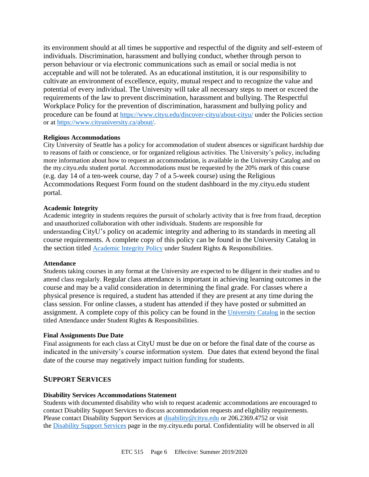its environment should at all times be supportive and respectful of the dignity and self-esteem of individuals. Discrimination, harassment and bullying conduct, whether through person to person behaviour or via electronic communications such as email or social media is not acceptable and will not be tolerated. As an educational institution, it is our responsibility to cultivate an environment of excellence, equity, mutual respect and to recognize the value and potential of every individual. The University will take all necessary steps to meet or exceed the requirements of the law to prevent discrimination, harassment and bullying. The Respectful Workplace Policy for the prevention of discrimination, harassment and bullying policy and procedure can be found at <https://www.cityu.edu/discover-cityu/about-cityu/> under the Policies section or at <https://www.cityuniversity.ca/about/>.

#### **Religious Accommodations**

City University of Seattle has a policy for accommodation of student absences or significant hardship due to reasons of faith or conscience, or for organized religious activities. The University's policy, including more information about how to request an accommodation, is available in the University Catalog and on the my.cityu.edu student portal. Accommodations must be requested by the 20% mark of this course (e.g. day 14 of a ten-week course, day 7 of a 5-week course) using the Religious Accommodations Request Form found on the student dashboard in the my.cityu.edu student portal.

#### **Academic Integrity**

Academic integrity in students requires the pursuit of scholarly activity that is free from fraud, deception and unauthorized collaboration with other individuals. Students are responsible for understanding CityU's policy on academic integrity and adhering to its standards in meeting all course requirements. A complete copy of this policy can be found in the University Catalog in the section titled [Academic Integrity Policy](https://www.cityu.edu/catalog/;) under Student Rights & Responsibilities.

#### **Attendance**

Students taking courses in any format at the University are expected to be diligent in their studies and to attend class regularly. Regular class attendance is important in achieving learning outcomes in the course and may be a valid consideration in determining the final grade. For classes where a physical presence is required, a student has attended if they are present at any time during the class session. For online classes, a student has attended if they have posted or submitted an assignment. A complete copy of this policy can be found in the [University Catalog](https://www.cityu.edu/catalog/;) in the section titled Attendance under Student Rights & Responsibilities.

#### **Final Assignments Due Date**

Final assignments for each class at CityU must be due on or before the final date of the course as indicated in the university's course information system. Due dates that extend beyond the final date of the course may negatively impact tuition funding for students.

#### **SUPPORT SERVICES**

#### **Disability Services Accommodations Statement**

Students with documented disability who wish to request academic accommodations are encouraged to contact Disability Support Services to discuss accommodation requests and eligibility requirements. Please contact Disability Support Services at [disability@cityu.edu](mailto:disability@cityu.edu) or 206.2369.4752 or visit the [Disability Support Services](https://my.cityu.edu/department/disability-support-services/) page in the my.cityu.edu portal. Confidentiality will be observed in all